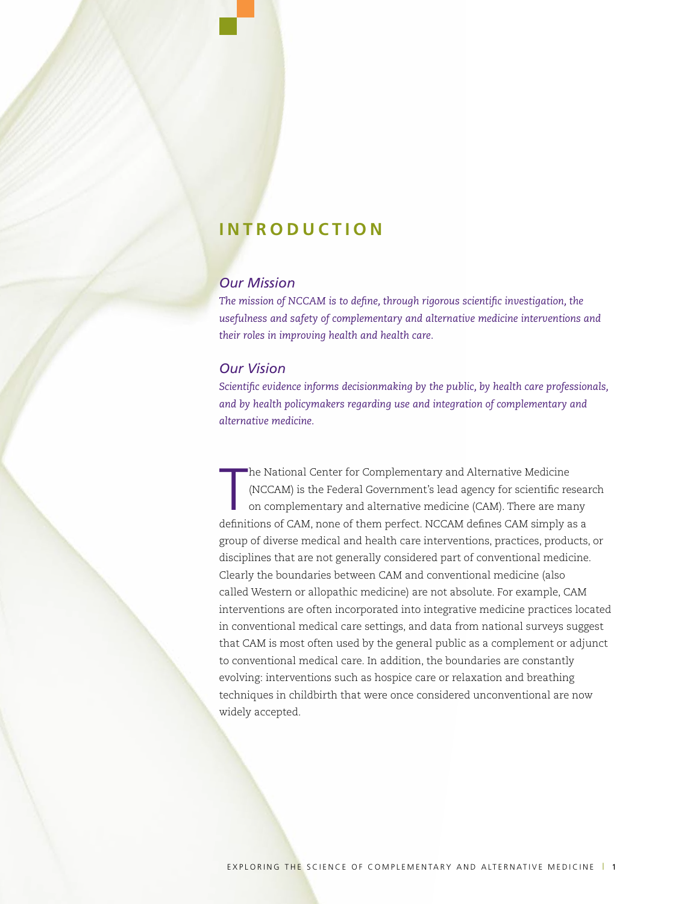# **INTRODUCTION**

### *Our Mission*

*The mission of NCCAM is to define, through rigorous scientific investigation, the usefulness and safety of complementary and alternative medicine interventions and their roles in improving health and health care.*

### *Our Vision*

*Scientific evidence informs decisionmaking by the public, by health care professionals, and by health policymakers regarding use and integration of complementary and alternative medicine.* 

T he National Center for Complementary and Alternative Medicine (NCCAM) is the Federal Government's lead agency for scientific research on complementary and alternative medicine (CAM). There are many definitions of CAM, none of them perfect. NCCAM defines CAM simply as a group of diverse medical and health care interventions, practices, products, or disciplines that are not generally considered part of conventional medicine. Clearly the boundaries between CAM and conventional medicine (also called Western or allopathic medicine) are not absolute. For example, CAM interventions are often incorporated into integrative medicine practices located in conventional medical care settings, and data from national surveys suggest that CAM is most often used by the general public as a complement or adjunct to conventional medical care. In addition, the boundaries are constantly evolving: interventions such as hospice care or relaxation and breathing techniques in childbirth that were once considered unconventional are now widely accepted.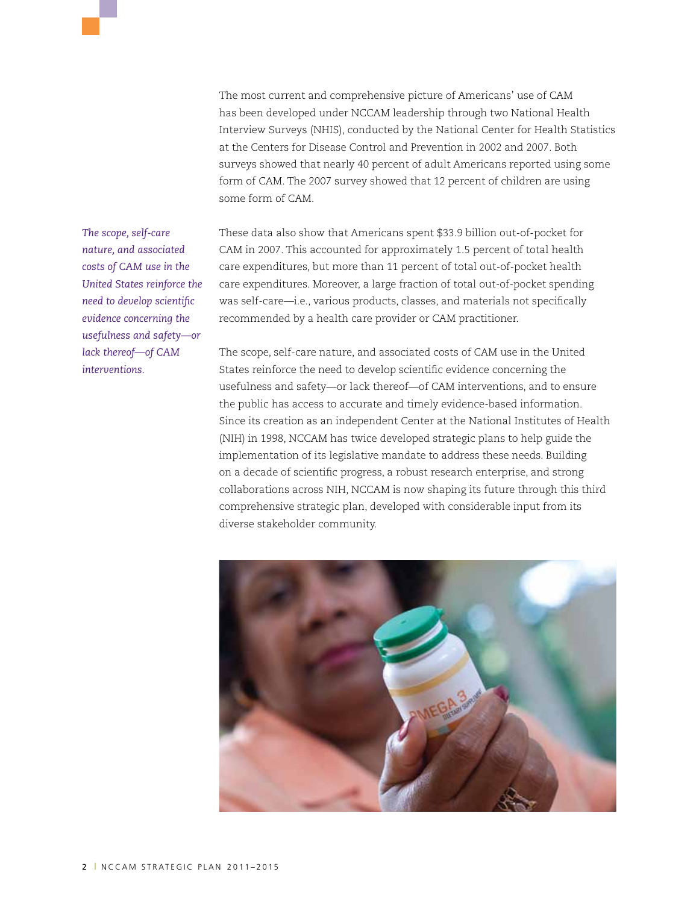The most current and comprehensive picture of Americans' use of CAM has been developed under NCCAM leadership through two National Health Interview Surveys (NHIS), conducted by the National Center for Health Statistics at the Centers for Disease Control and Prevention in 2002 and 2007. Both surveys showed that nearly 40 percent of adult Americans reported using some form of CAM. The 2007 survey showed that 12 percent of children are using some form of CAM.

These data also show that Americans spent \$33.9 billion out-of-pocket for CAM in 2007. This accounted for approximately 1.5 percent of total health care expenditures, but more than 11 percent of total out-of-pocket health care expenditures. Moreover, a large fraction of total out-of-pocket spending was self-care—i.e., various products, classes, and materials not specifically recommended by a health care provider or CAM practitioner.

The scope, self-care nature, and associated costs of CAM use in the United States reinforce the need to develop scientific evidence concerning the usefulness and safety—or lack thereof—of CAM interventions, and to ensure the public has access to accurate and timely evidence-based information. Since its creation as an independent Center at the National Institutes of Health (NIH) in 1998, NCCAM has twice developed strategic plans to help guide the implementation of its legislative mandate to address these needs. Building on a decade of scientific progress, a robust research enterprise, and strong collaborations across NIH, NCCAM is now shaping its future through this third comprehensive strategic plan, developed with considerable input from its diverse stakeholder community.



*The scope, self-care nature, and associated costs of CAM use in the United States reinforce the need to develop scientific evidence concerning the usefulness and safety—or lack thereof—of CAM interventions.*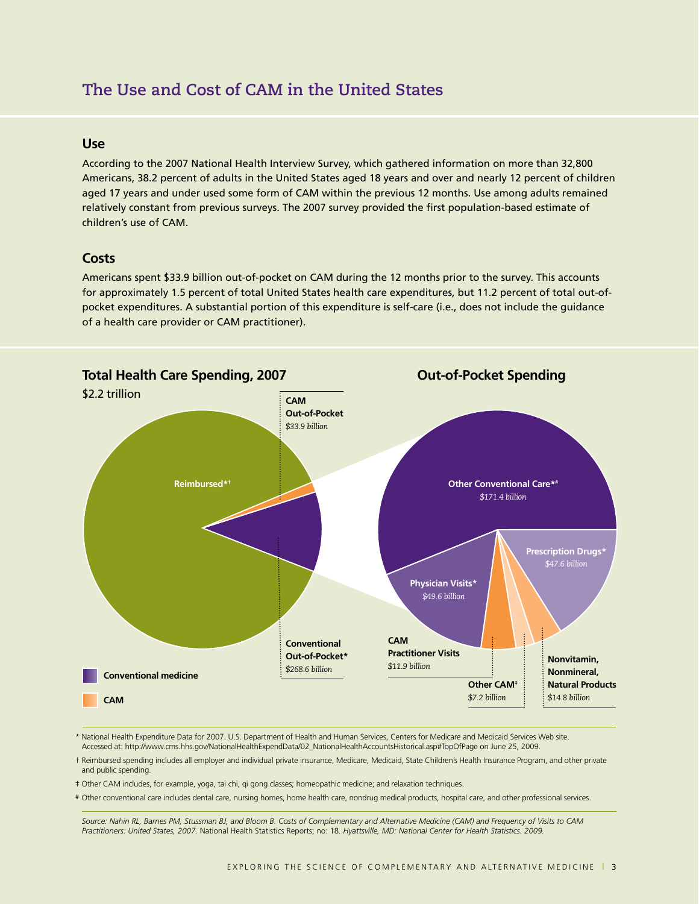# **The Use and Cost of CAM in the United States**

#### **Use**

According to the 2007 National Health Interview Survey, which gathered information on more than 32,800 Americans, 38.2 percent of adults in the United States aged 18 years and over and nearly 12 percent of children aged 17 years and under used some form of CAM within the previous 12 months. Use among adults remained relatively constant from previous surveys. The 2007 survey provided the first population-based estimate of children's use of CAM.

### **Costs**

Americans spent \$33.9 billion out-of-pocket on CAM during the 12 months prior to the survey. This accounts for approximately 1.5 percent of total United States health care expenditures, but 11.2 percent of total out-ofpocket expenditures. A substantial portion of this expenditure is self-care (i.e., does not include the guidance of a health care provider or CAM practitioner).



- \* National Health Expenditure Data for 2007. U.S. Department of Health and Human Services, Centers for Medicare and Medicaid Services Web site. Accessed at: http://www.cms.hhs.gov/NationalHealthExpendData/02\_NationalHealthAccountsHistorical.asp#TopOfPage on June 25, 2009.
- † Reimbursed spending includes all employer and individual private insurance, Medicare, Medicaid, State Children's Health Insurance Program, and other private and public spending.
- ‡ Other CAM includes, for example, yoga, tai chi, qi gong classes; homeopathic medicine; and relaxation techniques.
- # Other conventional care includes dental care, nursing homes, home health care, nondrug medical products, hospital care, and other professional services.

*Source: Nahin RL, Barnes PM, Stussman BJ, and Bloom B. Costs of Complementary and Alternative Medicine (CAM) and Frequency of Visits to CAM Practitioners: United States, 2007.* National Health Statistics Reports; no: 18*. Hyattsville, MD: National Center for Health Statistics. 2009.*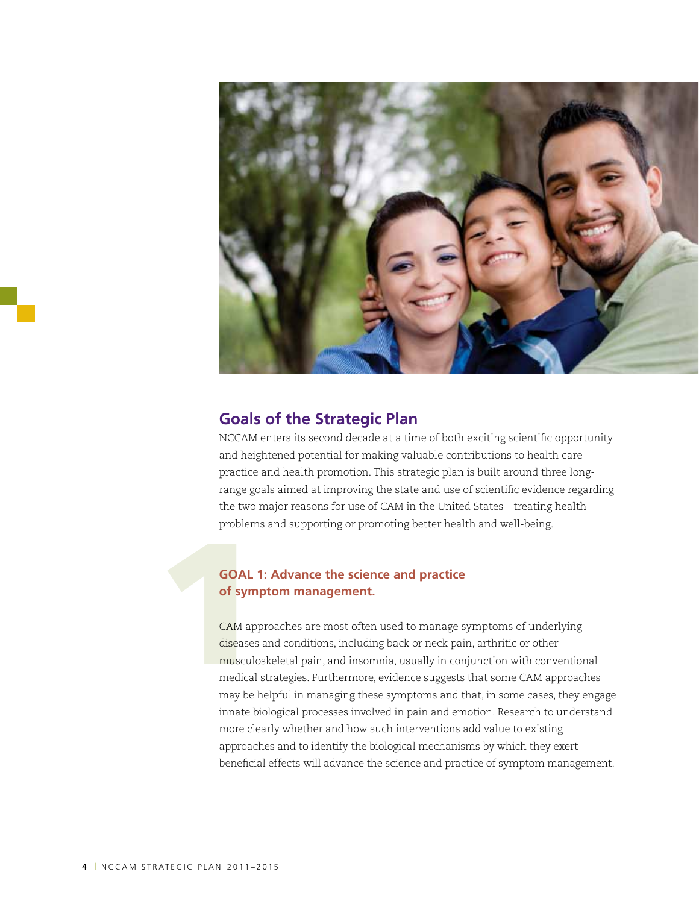

## **Goals of the Strategic Plan**

NCCAM enters its second decade at a time of both exciting scientific opportunity and heightened potential for making valuable contributions to health care practice and health promotion. This strategic plan is built around three longrange goals aimed at improving the state and use of scientific evidence regarding the two major reasons for use of CAM in the United States—treating health problems and supporting or promoting better health and well-being.

### **GOAL 1: Advance the science and practice of symptom management.**

GOAL 1<br>
of symples<br>
CAM app<br>
diseases<br>
musculo:<br>
may be b CAM approaches are most often used to manage symptoms of underlying diseases and conditions, including back or neck pain, arthritic or other musculoskeletal pain, and insomnia, usually in conjunction with conventional medical strategies. Furthermore, evidence suggests that some CAM approaches may be helpful in managing these symptoms and that, in some cases, they engage innate biological processes involved in pain and emotion. Research to understand more clearly whether and how such interventions add value to existing approaches and to identify the biological mechanisms by which they exert beneficial effects will advance the science and practice of symptom management.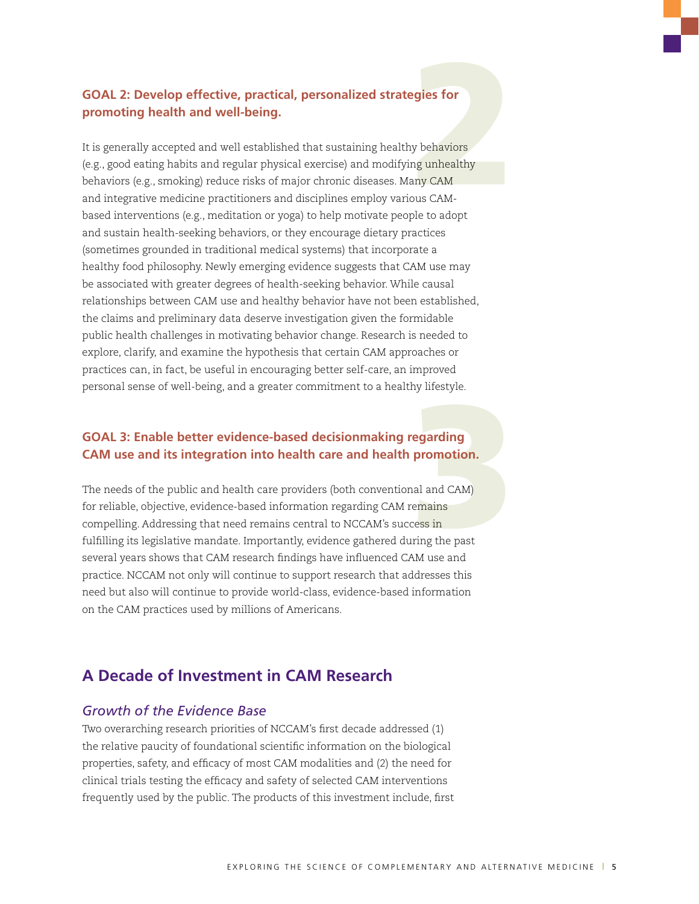## **GOAL 2: Develop effective, practical, personalized strategies for promoting health and well-being.**

**egies for<br>y behaviors<br>ng unhealthy<br>any CAM<br>ous CAM-<br>ale to adont** It is generally accepted and well established that sustaining healthy behaviors (e.g., good eating habits and regular physical exercise) and modifying unhealthy behaviors (e.g., smoking) reduce risks of major chronic diseases. Many CAM and integrative medicine practitioners and disciplines employ various CAMbased interventions (e.g., meditation or yoga) to help motivate people to adopt and sustain health-seeking behaviors, or they encourage dietary practices (sometimes grounded in traditional medical systems) that incorporate a healthy food philosophy. Newly emerging evidence suggests that CAM use may be associated with greater degrees of health-seeking behavior. While causal relationships between CAM use and healthy behavior have not been established, the claims and preliminary data deserve investigation given the formidable public health challenges in motivating behavior change. Research is needed to explore, clarify, and examine the hypothesis that certain CAM approaches or practices can, in fact, be useful in encouraging better self-care, an improved personal sense of well-being, and a greater commitment to a healthy lifestyle.

### **GOAL 3: Enable better evidence-based decisionmaking regarding CAM use and its integration into health care and health promotion.**

ry mestyle.<br> **egarding<br>
promotion.**<br>
hal and CAM)<br>
remains<br>
ress in<br>
ring the past<br>
AM use and The needs of the public and health care providers (both conventional and CAM) for reliable, objective, evidence-based information regarding CAM remains compelling. Addressing that need remains central to NCCAM's success in fulfilling its legislative mandate. Importantly, evidence gathered during the past several years shows that CAM research findings have influenced CAM use and practice. NCCAM not only will continue to support research that addresses this need but also will continue to provide world-class, evidence-based information on the CAM practices used by millions of Americans.

## **A Decade of Investment in CAM Research**

## *Growth of the Evidence Base*

Two overarching research priorities of NCCAM's first decade addressed (1) the relative paucity of foundational scientific information on the biological properties, safety, and efficacy of most CAM modalities and (2) the need for clinical trials testing the efficacy and safety of selected CAM interventions frequently used by the public. The products of this investment include, first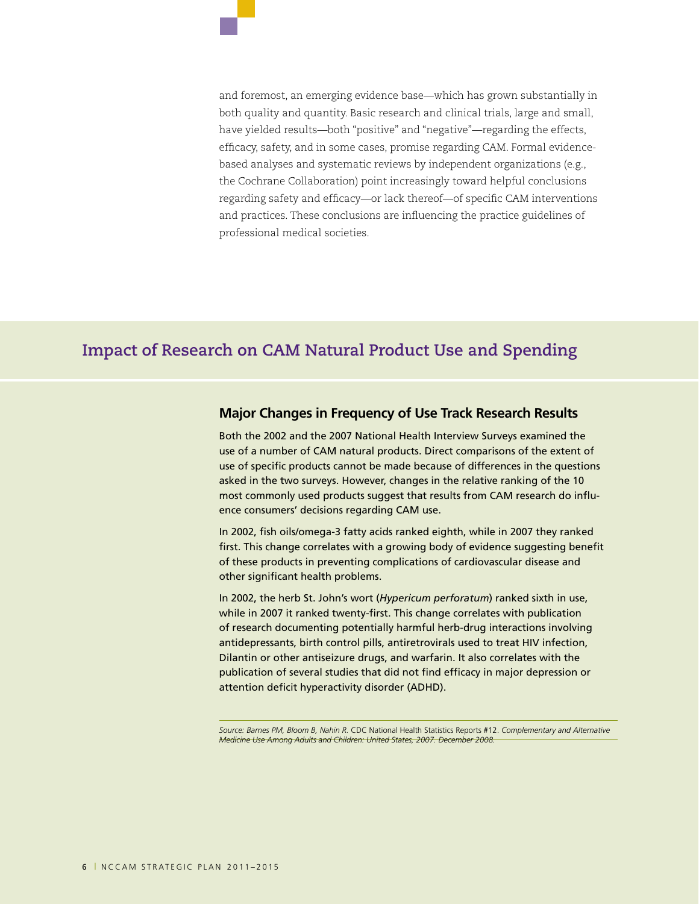and foremost, an emerging evidence base—which has grown substantially in both quality and quantity. Basic research and clinical trials, large and small, have yielded results—both "positive" and "negative"—regarding the effects, efficacy, safety, and in some cases, promise regarding CAM. Formal evidencebased analyses and systematic reviews by independent organizations (e.g., the Cochrane Collaboration) point increasingly toward helpful conclusions regarding safety and efficacy—or lack thereof—of specific CAM interventions and practices. These conclusions are influencing the practice guidelines of professional medical societies.

# **Impact of Research on CAM Natural Product Use and Spending**

#### **Major Changes in Frequency of Use Track Research Results**

Both the 2002 and the 2007 National Health Interview Surveys examined the use of a number of CAM natural products. Direct comparisons of the extent of use of specific products cannot be made because of differences in the questions asked in the two surveys. However, changes in the relative ranking of the 10 most commonly used products suggest that results from CAM research do influence consumers' decisions regarding CAM use.

In 2002, fish oils/omega-3 fatty acids ranked eighth, while in 2007 they ranked first. This change correlates with a growing body of evidence suggesting benefit of these products in preventing complications of cardiovascular disease and other significant health problems.

In 2002, the herb St. John's wort (*Hypericum perforatum*) ranked sixth in use, while in 2007 it ranked twenty-first. This change correlates with publication of research documenting potentially harmful herb-drug interactions involving antidepressants, birth control pills, antiretrovirals used to treat HIV infection, Dilantin or other antiseizure drugs, and warfarin. It also correlates with the publication of several studies that did not find efficacy in major depression or attention deficit hyperactivity disorder (ADHD).

*Source: Barnes PM, Bloom B, Nahin R.* CDC National Health Statistics Reports #12. *Complementary and Alternative Medicine Use Among Adults and Children: United States, 2007. December 2008.*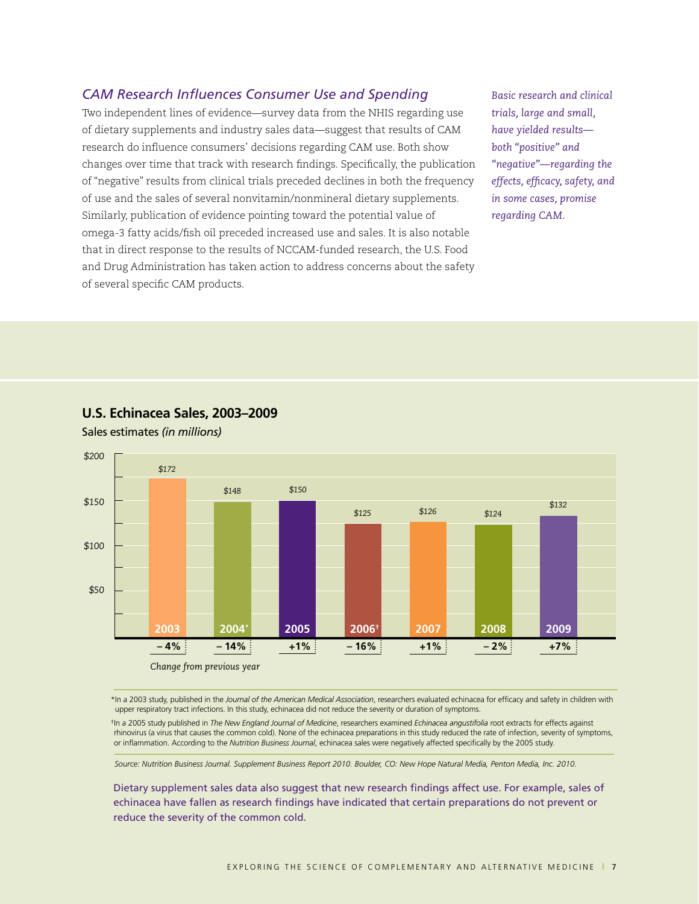## *CAM Research Influences Consumer Use and Spending*

Two independent lines of evidence—survey data from the NHIS regarding use of dietary supplements and industry sales data—suggest that results of CAM research do influence consumers' decisions regarding CAM use. Both show changes over time that track with research findings. Specifically, the publication of "negative" results from clinical trials preceded declines in both the frequency of use and the sales of several nonvitamin/nonmineral dietary supplements. Similarly, publication of evidence pointing toward the potential value of omega-3 fatty acids/fish oil preceded increased use and sales. It is also notable that in direct response to the results of NCCAM-funded research, the U.S. Food and Drug Administration has taken action to address concerns about the safety of several specific CAM products.

*Basic research and clinical trials, large and small, have yielded results both "positive" and "negative"—regarding the effects, efficacy, safety, and in some cases, promise regarding CAM.* 



#### **U.S. Echinacea Sales, 2003–2009**

Sales estimates *(in millions)*

\* In a 2003 study, published in the *Journal of the American Medical Association*, researchers evaluated echinacea for efficacy and safety in children with upper respiratory tract infections. In this study, echinacea did not reduce the severity or duration of symptoms.

†In a 2005 study published in *The New England Journal of Medicine*, researchers examined *Echinacea angustifolia* root extracts for effects against rhinovirus (a virus that causes the common cold). None of the echinacea preparations in this study reduced the rate of infection, severity of symptoms, or inflammation. According to the *Nutrition Business Journal*, echinacea sales were negatively affected specifically by the 2005 study.

*Source: Nutrition Business Journal. Supplement Business Report 2010. Boulder, CO: New Hope Natural Media, Penton Media, Inc. 2010.*

Dietary supplement sales data also suggest that new research findings affect use. For example, sales of echinacea have fallen as research findings have indicated that certain preparations do not prevent or reduce the severity of the common cold.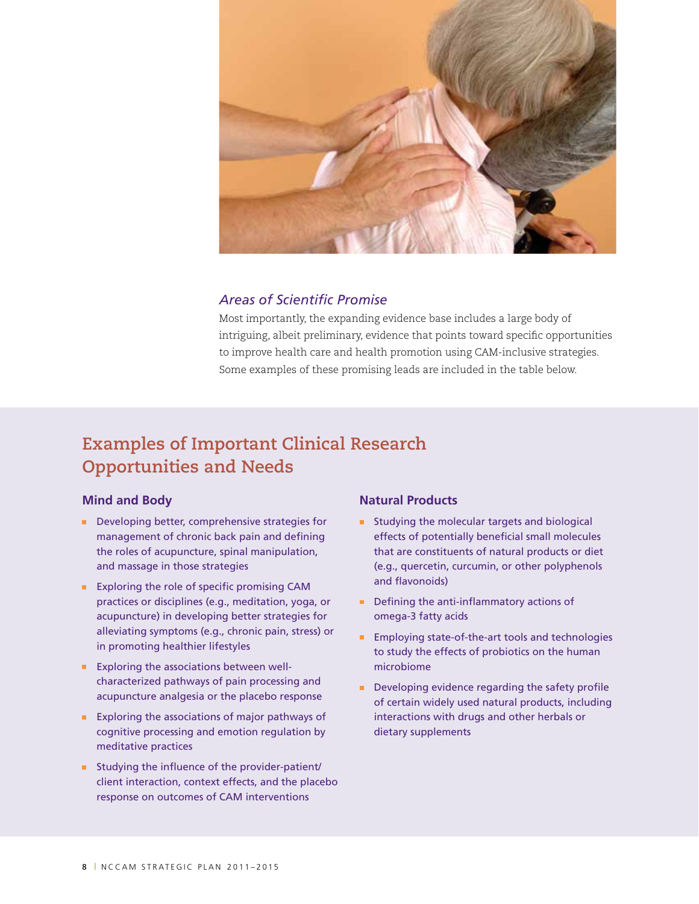

## *Areas of Scientific Promise*

Most importantly, the expanding evidence base includes a large body of intriguing, albeit preliminary, evidence that points toward specific opportunities to improve health care and health promotion using CAM-inclusive strategies. Some examples of these promising leads are included in the table below.

# **Examples of Important Clinical Research Opportunities and Needs**

#### **Mind and Body**

- Developing better, comprehensive strategies for management of chronic back pain and defining the roles of acupuncture, spinal manipulation, and massage in those strategies
- **Exploring the role of specific promising CAM** practices or disciplines (e.g., meditation, yoga, or acupuncture) in developing better strategies for alleviating symptoms (e.g., chronic pain, stress) or in promoting healthier lifestyles
- **Exploring the associations between well**characterized pathways of pain processing and acupuncture analgesia or the placebo response
- **Exploring the associations of major pathways of** cognitive processing and emotion regulation by meditative practices
- Studying the influence of the provider-patient/ client interaction, context effects, and the placebo response on outcomes of CAM interventions

#### **Natural Products**

- **Studying the molecular targets and biological** effects of potentially beneficial small molecules that are constituents of natural products or diet (e.g., quercetin, curcumin, or other polyphenols and flavonoids)
- Defining the anti-inflammatory actions of omega-3 fatty acids
- **Employing state-of-the-art tools and technologies** to study the effects of probiotics on the human microbiome
- Developing evidence regarding the safety profile of certain widely used natural products, including interactions with drugs and other herbals or dietary supplements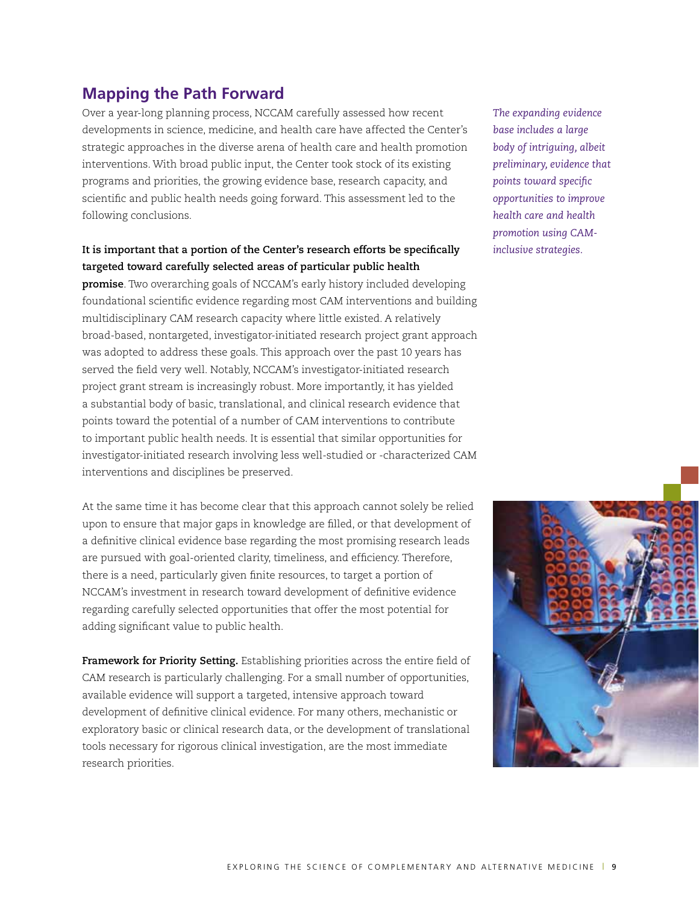## **Mapping the Path Forward**

Over a year-long planning process, NCCAM carefully assessed how recent developments in science, medicine, and health care have affected the Center's strategic approaches in the diverse arena of health care and health promotion interventions. With broad public input, the Center took stock of its existing programs and priorities, the growing evidence base, research capacity, and scientific and public health needs going forward. This assessment led to the following conclusions.

### **It is important that a portion of the Center's research efforts be specifically targeted toward carefully selected areas of particular public health**

**promise**. Two overarching goals of NCCAM's early history included developing foundational scientific evidence regarding most CAM interventions and building multidisciplinary CAM research capacity where little existed. A relatively broad-based, nontargeted, investigator-initiated research project grant approach was adopted to address these goals. This approach over the past 10 years has served the field very well. Notably, NCCAM's investigator-initiated research project grant stream is increasingly robust. More importantly, it has yielded a substantial body of basic, translational, and clinical research evidence that points toward the potential of a number of CAM interventions to contribute to important public health needs. It is essential that similar opportunities for investigator-initiated research involving less well-studied or -characterized CAM interventions and disciplines be preserved.

At the same time it has become clear that this approach cannot solely be relied upon to ensure that major gaps in knowledge are filled, or that development of a definitive clinical evidence base regarding the most promising research leads are pursued with goal-oriented clarity, timeliness, and efficiency. Therefore, there is a need, particularly given finite resources, to target a portion of NCCAM's investment in research toward development of definitive evidence regarding carefully selected opportunities that offer the most potential for adding significant value to public health.

**Framework for Priority Setting.** Establishing priorities across the entire field of CAM research is particularly challenging. For a small number of opportunities, available evidence will support a targeted, intensive approach toward development of definitive clinical evidence. For many others, mechanistic or exploratory basic or clinical research data, or the development of translational tools necessary for rigorous clinical investigation, are the most immediate research priorities.

*The expanding evidence base includes a large body of intriguing, albeit preliminary, evidence that points toward specific opportunities to improve health care and health promotion using CAMinclusive strategies.*

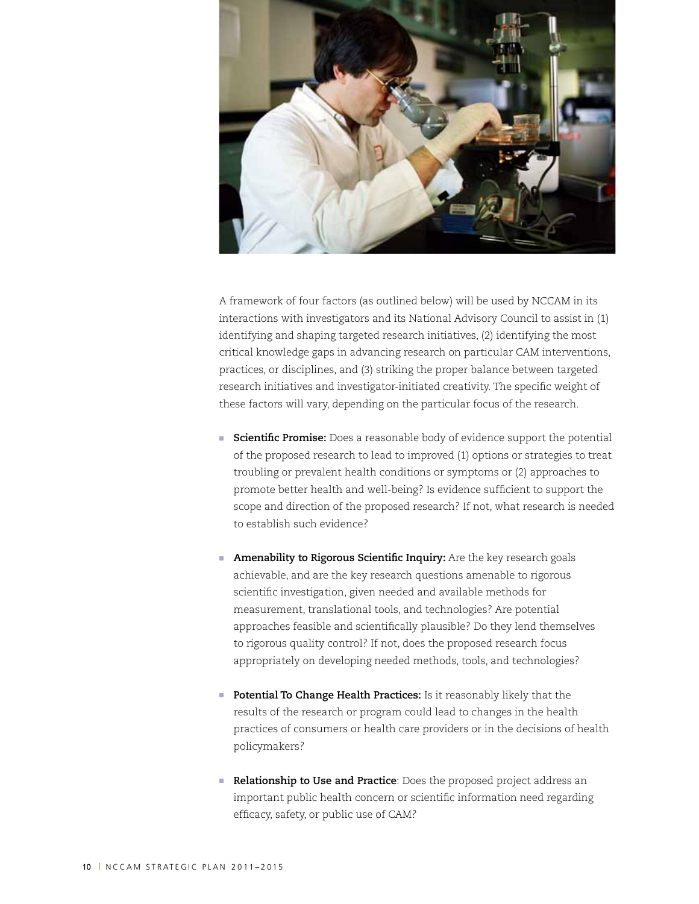

A framework of four factors (as outlined below) will be used by NCCAM in its interactions with investigators and its National Advisory Council to assist in (1) identifying and shaping targeted research initiatives, (2) identifying the most critical knowledge gaps in advancing research on particular CAM interventions, practices, or disciplines, and (3) striking the proper balance between targeted research initiatives and investigator-initiated creativity. The specific weight of these factors will vary, depending on the particular focus of the research.

- **Scientific Promise:** Does a reasonable body of evidence support the potential of the proposed research to lead to improved (1) options or strategies to treat troubling or prevalent health conditions or symptoms or (2) approaches to promote better health and well-being? Is evidence sufficient to support the scope and direction of the proposed research? If not, what research is needed to establish such evidence?
- **Amenability to Rigorous Scientific Inquiry:** Are the key research goals achievable, and are the key research questions amenable to rigorous scientific investigation, given needed and available methods for measurement, translational tools, and technologies? Are potential approaches feasible and scientifically plausible? Do they lend themselves to rigorous quality control? If not, does the proposed research focus appropriately on developing needed methods, tools, and technologies?
- **Potential To Change Health Practices:** Is it reasonably likely that the results of the research or program could lead to changes in the health practices of consumers or health care providers or in the decisions of health policymakers?
- **Relationship to Use and Practice**: Does the proposed project address an important public health concern or scientific information need regarding efficacy, safety, or public use of CAM?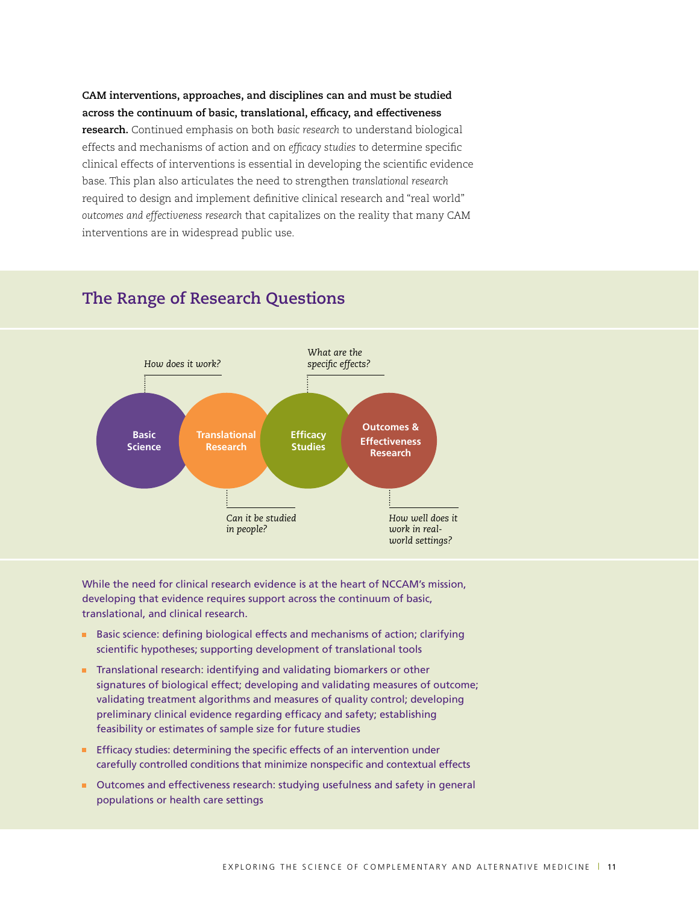## **CAM interventions, approaches, and disciplines can and must be studied across the continuum of basic, translational, efficacy, and effectiveness research.** Continued emphasis on both *basic research* to understand biological effects and mechanisms of action and on *efficacy studies* to determine specific clinical effects of interventions is essential in developing the scientific evidence base. This plan also articulates the need to strengthen *translational research* required to design and implement definitive clinical research and "real world" *outcomes and effectiveness research* that capitalizes on the reality that many CAM interventions are in widespread public use.



## **The Range of Research Questions**

While the need for clinical research evidence is at the heart of NCCAM's mission, developing that evidence requires support across the continuum of basic, translational, and clinical research.

- Basic science: defining biological effects and mechanisms of action; clarifying scientific hypotheses; supporting development of translational tools
- **Translational research: identifying and validating biomarkers or other** signatures of biological effect; developing and validating measures of outcome; validating treatment algorithms and measures of quality control; developing preliminary clinical evidence regarding efficacy and safety; establishing feasibility or estimates of sample size for future studies
- **Efficacy studies: determining the specific effects of an intervention under** carefully controlled conditions that minimize nonspecific and contextual effects
- Outcomes and effectiveness research: studying usefulness and safety in general populations or health care settings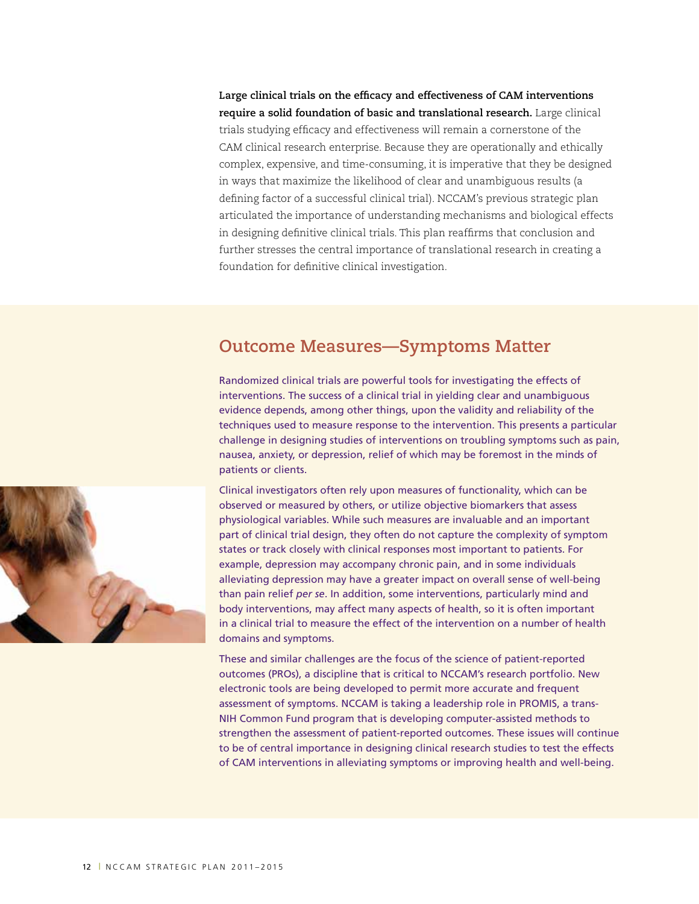**Large clinical trials on the efficacy and effectiveness of CAM interventions require a solid foundation of basic and translational research.** Large clinical trials studying efficacy and effectiveness will remain a cornerstone of the CAM clinical research enterprise. Because they are operationally and ethically complex, expensive, and time-consuming, it is imperative that they be designed in ways that maximize the likelihood of clear and unambiguous results (a defining factor of a successful clinical trial). NCCAM's previous strategic plan articulated the importance of understanding mechanisms and biological effects in designing definitive clinical trials. This plan reaffirms that conclusion and further stresses the central importance of translational research in creating a foundation for definitive clinical investigation.

# **Outcome Measures—Symptoms Matter**

Randomized clinical trials are powerful tools for investigating the effects of interventions. The success of a clinical trial in yielding clear and unambiguous evidence depends, among other things, upon the validity and reliability of the techniques used to measure response to the intervention. This presents a particular challenge in designing studies of interventions on troubling symptoms such as pain, nausea, anxiety, or depression, relief of which may be foremost in the minds of patients or clients.

Clinical investigators often rely upon measures of functionality, which can be observed or measured by others, or utilize objective biomarkers that assess physiological variables. While such measures are invaluable and an important part of clinical trial design, they often do not capture the complexity of symptom states or track closely with clinical responses most important to patients. For example, depression may accompany chronic pain, and in some individuals alleviating depression may have a greater impact on overall sense of well-being than pain relief *per se*. In addition, some interventions, particularly mind and body interventions, may affect many aspects of health, so it is often important in a clinical trial to measure the effect of the intervention on a number of health domains and symptoms.

These and similar challenges are the focus of the science of patient-reported outcomes (PROs), a discipline that is critical to NCCAM's research portfolio. New electronic tools are being developed to permit more accurate and frequent assessment of symptoms. NCCAM is taking a leadership role in PROMIS, a trans-NIH Common Fund program that is developing computer-assisted methods to strengthen the assessment of patient-reported outcomes. These issues will continue to be of central importance in designing clinical research studies to test the effects of CAM interventions in alleviating symptoms or improving health and well-being.

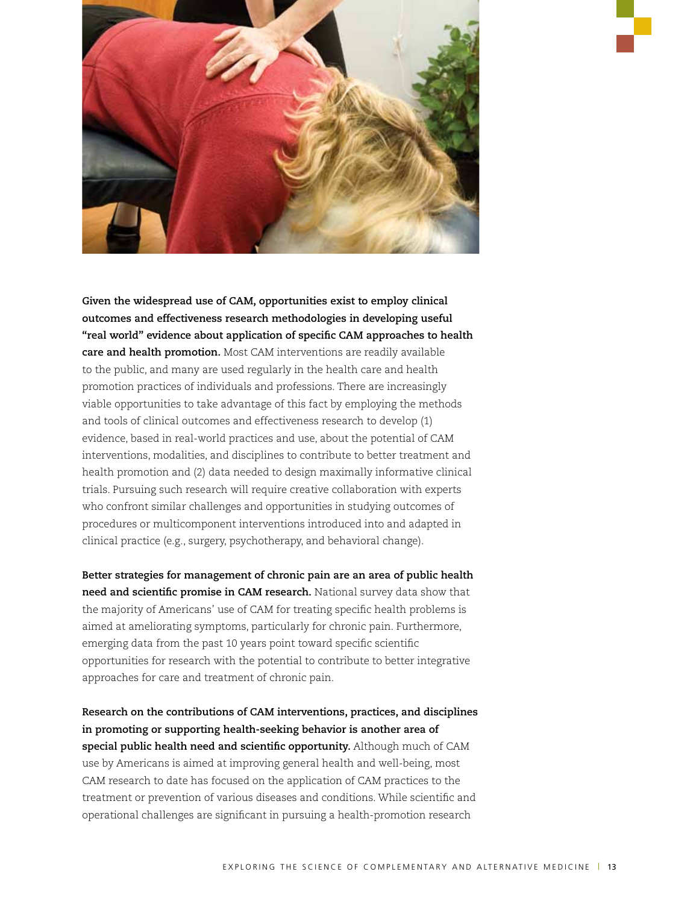

**Given the widespread use of CAM, opportunities exist to employ clinical outcomes and effectiveness research methodologies in developing useful "real world" evidence about application of specific CAM approaches to health care and health promotion.** Most CAM interventions are readily available to the public, and many are used regularly in the health care and health promotion practices of individuals and professions. There are increasingly viable opportunities to take advantage of this fact by employing the methods and tools of clinical outcomes and effectiveness research to develop (1) evidence, based in real-world practices and use, about the potential of CAM interventions, modalities, and disciplines to contribute to better treatment and health promotion and (2) data needed to design maximally informative clinical trials. Pursuing such research will require creative collaboration with experts who confront similar challenges and opportunities in studying outcomes of procedures or multicomponent interventions introduced into and adapted in clinical practice (e.g., surgery, psychotherapy, and behavioral change).

**Better strategies for management of chronic pain are an area of public health need and scientific promise in CAM research.** National survey data show that the majority of Americans' use of CAM for treating specific health problems is aimed at ameliorating symptoms, particularly for chronic pain. Furthermore, emerging data from the past 10 years point toward specific scientific opportunities for research with the potential to contribute to better integrative approaches for care and treatment of chronic pain.

**Research on the contributions of CAM interventions, practices, and disciplines in promoting or supporting health-seeking behavior is another area of special public health need and scientific opportunity.** Although much of CAM use by Americans is aimed at improving general health and well-being, most CAM research to date has focused on the application of CAM practices to the treatment or prevention of various diseases and conditions. While scientific and operational challenges are significant in pursuing a health-promotion research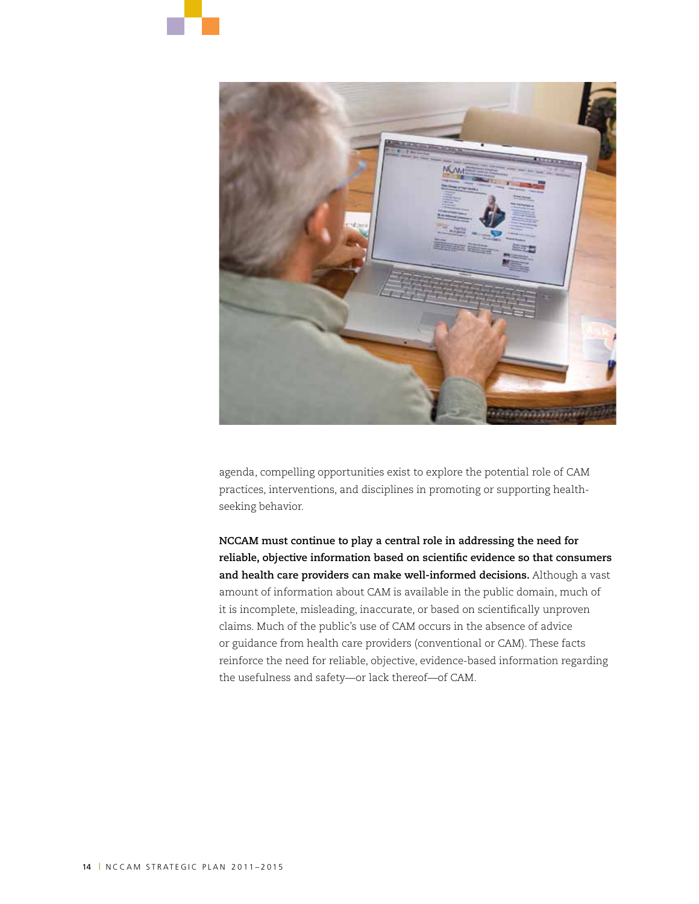



agenda, compelling opportunities exist to explore the potential role of CAM practices, interventions, and disciplines in promoting or supporting healthseeking behavior.

**NCCAM must continue to play a central role in addressing the need for reliable, objective information based on scientific evidence so that consumers and health care providers can make well-informed decisions.** Although a vast amount of information about CAM is available in the public domain, much of it is incomplete, misleading, inaccurate, or based on scientifically unproven claims. Much of the public's use of CAM occurs in the absence of advice or guidance from health care providers (conventional or CAM). These facts reinforce the need for reliable, objective, evidence-based information regarding the usefulness and safety—or lack thereof—of CAM.